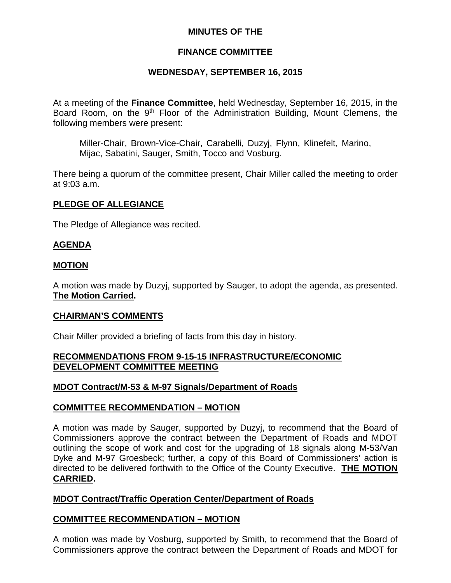## **MINUTES OF THE**

## **FINANCE COMMITTEE**

## **WEDNESDAY, SEPTEMBER 16, 2015**

At a meeting of the **Finance Committee**, held Wednesday, September 16, 2015, in the Board Room, on the 9<sup>th</sup> Floor of the Administration Building, Mount Clemens, the following members were present:

Miller-Chair, Brown-Vice-Chair, Carabelli, Duzyj, Flynn, Klinefelt, Marino, Mijac, Sabatini, Sauger, Smith, Tocco and Vosburg.

There being a quorum of the committee present, Chair Miller called the meeting to order at 9:03 a.m.

### **PLEDGE OF ALLEGIANCE**

The Pledge of Allegiance was recited.

### **AGENDA**

#### **MOTION**

A motion was made by Duzyj, supported by Sauger, to adopt the agenda, as presented. **The Motion Carried.**

#### **CHAIRMAN'S COMMENTS**

Chair Miller provided a briefing of facts from this day in history.

### **RECOMMENDATIONS FROM 9-15-15 INFRASTRUCTURE/ECONOMIC DEVELOPMENT COMMITTEE MEETING**

#### **MDOT Contract/M-53 & M-97 Signals/Department of Roads**

#### **COMMITTEE RECOMMENDATION – MOTION**

A motion was made by Sauger, supported by Duzyj, to recommend that the Board of Commissioners approve the contract between the Department of Roads and MDOT outlining the scope of work and cost for the upgrading of 18 signals along M-53/Van Dyke and M-97 Groesbeck; further, a copy of this Board of Commissioners' action is directed to be delivered forthwith to the Office of the County Executive. **THE MOTION CARRIED.**

## **MDOT Contract/Traffic Operation Center/Department of Roads**

## **COMMITTEE RECOMMENDATION – MOTION**

A motion was made by Vosburg, supported by Smith, to recommend that the Board of Commissioners approve the contract between the Department of Roads and MDOT for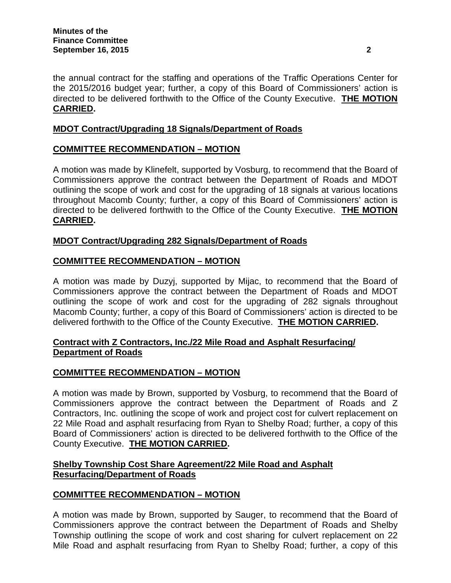the annual contract for the staffing and operations of the Traffic Operations Center for the 2015/2016 budget year; further, a copy of this Board of Commissioners' action is directed to be delivered forthwith to the Office of the County Executive. **THE MOTION CARRIED.**

## **MDOT Contract/Upgrading 18 Signals/Department of Roads**

## **COMMITTEE RECOMMENDATION – MOTION**

A motion was made by Klinefelt, supported by Vosburg, to recommend that the Board of Commissioners approve the contract between the Department of Roads and MDOT outlining the scope of work and cost for the upgrading of 18 signals at various locations throughout Macomb County; further, a copy of this Board of Commissioners' action is directed to be delivered forthwith to the Office of the County Executive. **THE MOTION CARRIED.**

## **MDOT Contract/Upgrading 282 Signals/Department of Roads**

## **COMMITTEE RECOMMENDATION – MOTION**

A motion was made by Duzyj, supported by Mijac, to recommend that the Board of Commissioners approve the contract between the Department of Roads and MDOT outlining the scope of work and cost for the upgrading of 282 signals throughout Macomb County; further, a copy of this Board of Commissioners' action is directed to be delivered forthwith to the Office of the County Executive. **THE MOTION CARRIED.**

## **Contract with Z Contractors, Inc./22 Mile Road and Asphalt Resurfacing/ Department of Roads**

## **COMMITTEE RECOMMENDATION – MOTION**

A motion was made by Brown, supported by Vosburg, to recommend that the Board of Commissioners approve the contract between the Department of Roads and Z Contractors, Inc. outlining the scope of work and project cost for culvert replacement on 22 Mile Road and asphalt resurfacing from Ryan to Shelby Road; further, a copy of this Board of Commissioners' action is directed to be delivered forthwith to the Office of the County Executive. **THE MOTION CARRIED.**

## **Shelby Township Cost Share Agreement/22 Mile Road and Asphalt Resurfacing/Department of Roads**

## **COMMITTEE RECOMMENDATION – MOTION**

A motion was made by Brown, supported by Sauger, to recommend that the Board of Commissioners approve the contract between the Department of Roads and Shelby Township outlining the scope of work and cost sharing for culvert replacement on 22 Mile Road and asphalt resurfacing from Ryan to Shelby Road; further, a copy of this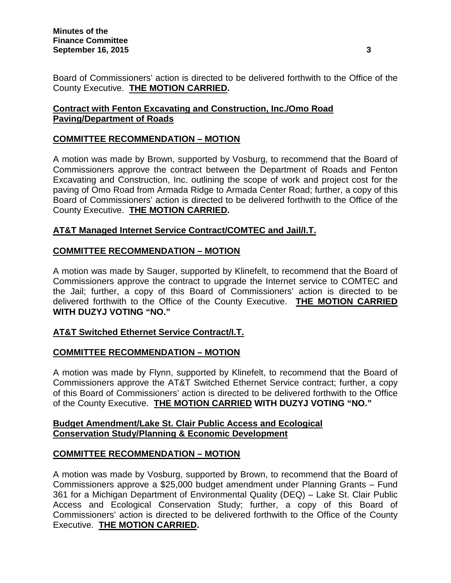Board of Commissioners' action is directed to be delivered forthwith to the Office of the County Executive. **THE MOTION CARRIED.**

# **Contract with Fenton Excavating and Construction, Inc./Omo Road Paving/Department of Roads**

# **COMMITTEE RECOMMENDATION – MOTION**

A motion was made by Brown, supported by Vosburg, to recommend that the Board of Commissioners approve the contract between the Department of Roads and Fenton Excavating and Construction, Inc. outlining the scope of work and project cost for the paving of Omo Road from Armada Ridge to Armada Center Road; further, a copy of this Board of Commissioners' action is directed to be delivered forthwith to the Office of the County Executive. **THE MOTION CARRIED.**

# **AT&T Managed Internet Service Contract/COMTEC and Jail/I.T.**

## **COMMITTEE RECOMMENDATION – MOTION**

A motion was made by Sauger, supported by Klinefelt, to recommend that the Board of Commissioners approve the contract to upgrade the Internet service to COMTEC and the Jail; further, a copy of this Board of Commissioners' action is directed to be delivered forthwith to the Office of the County Executive. **THE MOTION CARRIED WITH DUZYJ VOTING "NO."**

# **AT&T Switched Ethernet Service Contract/I.T.**

## **COMMITTEE RECOMMENDATION – MOTION**

A motion was made by Flynn, supported by Klinefelt, to recommend that the Board of Commissioners approve the AT&T Switched Ethernet Service contract; further, a copy of this Board of Commissioners' action is directed to be delivered forthwith to the Office of the County Executive. **THE MOTION CARRIED WITH DUZYJ VOTING "NO."**

## **Budget Amendment/Lake St. Clair Public Access and Ecological Conservation Study/Planning & Economic Development**

## **COMMITTEE RECOMMENDATION – MOTION**

A motion was made by Vosburg, supported by Brown, to recommend that the Board of Commissioners approve a \$25,000 budget amendment under Planning Grants – Fund 361 for a Michigan Department of Environmental Quality (DEQ) – Lake St. Clair Public Access and Ecological Conservation Study; further, a copy of this Board of Commissioners' action is directed to be delivered forthwith to the Office of the County Executive. **THE MOTION CARRIED.**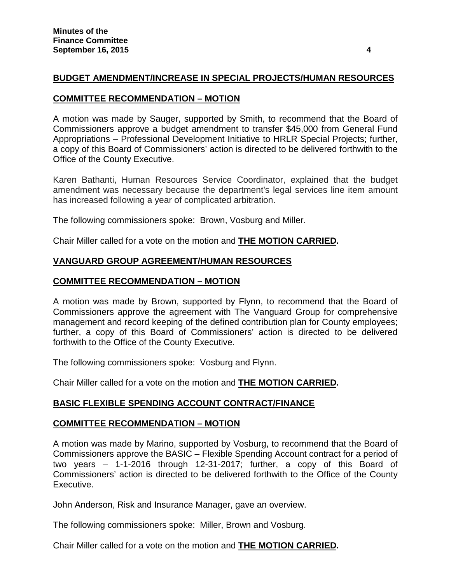## **BUDGET AMENDMENT/INCREASE IN SPECIAL PROJECTS/HUMAN RESOURCES**

### **COMMITTEE RECOMMENDATION – MOTION**

A motion was made by Sauger, supported by Smith, to recommend that the Board of Commissioners approve a budget amendment to transfer \$45,000 from General Fund Appropriations – Professional Development Initiative to HRLR Special Projects; further, a copy of this Board of Commissioners' action is directed to be delivered forthwith to the Office of the County Executive.

Karen Bathanti, Human Resources Service Coordinator, explained that the budget amendment was necessary because the department's legal services line item amount has increased following a year of complicated arbitration.

The following commissioners spoke: Brown, Vosburg and Miller.

Chair Miller called for a vote on the motion and **THE MOTION CARRIED.**

## **VANGUARD GROUP AGREEMENT/HUMAN RESOURCES**

## **COMMITTEE RECOMMENDATION – MOTION**

A motion was made by Brown, supported by Flynn, to recommend that the Board of Commissioners approve the agreement with The Vanguard Group for comprehensive management and record keeping of the defined contribution plan for County employees; further, a copy of this Board of Commissioners' action is directed to be delivered forthwith to the Office of the County Executive.

The following commissioners spoke: Vosburg and Flynn.

Chair Miller called for a vote on the motion and **THE MOTION CARRIED.**

## **BASIC FLEXIBLE SPENDING ACCOUNT CONTRACT/FINANCE**

#### **COMMITTEE RECOMMENDATION – MOTION**

A motion was made by Marino, supported by Vosburg, to recommend that the Board of Commissioners approve the BASIC – Flexible Spending Account contract for a period of two years – 1-1-2016 through 12-31-2017; further, a copy of this Board of Commissioners' action is directed to be delivered forthwith to the Office of the County Executive.

John Anderson, Risk and Insurance Manager, gave an overview.

The following commissioners spoke: Miller, Brown and Vosburg.

Chair Miller called for a vote on the motion and **THE MOTION CARRIED.**